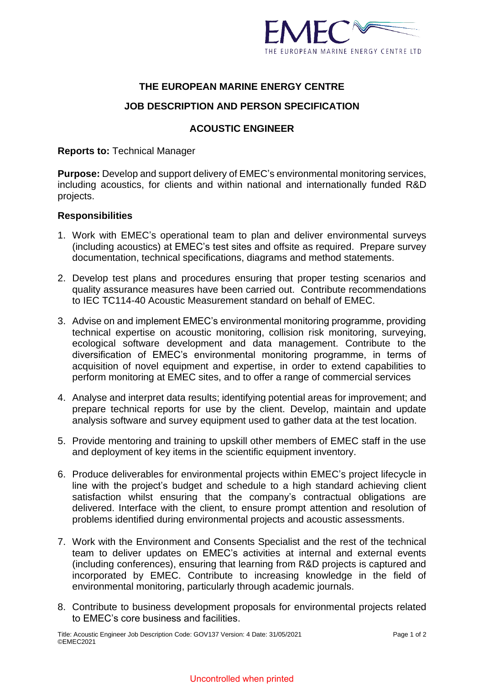

# **THE EUROPEAN MARINE ENERGY CENTRE**

## **JOB DESCRIPTION AND PERSON SPECIFICATION**

## **ACOUSTIC ENGINEER**

**Reports to:** Technical Manager

**Purpose:** Develop and support delivery of EMEC's environmental monitoring services, including acoustics, for clients and within national and internationally funded R&D projects.

## **Responsibilities**

- 1. Work with EMEC's operational team to plan and deliver environmental surveys (including acoustics) at EMEC's test sites and offsite as required. Prepare survey documentation, technical specifications, diagrams and method statements.
- 2. Develop test plans and procedures ensuring that proper testing scenarios and quality assurance measures have been carried out. Contribute recommendations to IEC TC114-40 Acoustic Measurement standard on behalf of EMEC.
- 3. Advise on and implement EMEC's environmental monitoring programme, providing technical expertise on acoustic monitoring, collision risk monitoring, surveying, ecological software development and data management. Contribute to the diversification of EMEC's environmental monitoring programme, in terms of acquisition of novel equipment and expertise, in order to extend capabilities to perform monitoring at EMEC sites, and to offer a range of commercial services
- 4. Analyse and interpret data results; identifying potential areas for improvement; and prepare technical reports for use by the client. Develop, maintain and update analysis software and survey equipment used to gather data at the test location.
- 5. Provide mentoring and training to upskill other members of EMEC staff in the use and deployment of key items in the scientific equipment inventory.
- 6. Produce deliverables for environmental projects within EMEC's project lifecycle in line with the project's budget and schedule to a high standard achieving client satisfaction whilst ensuring that the company's contractual obligations are delivered. Interface with the client, to ensure prompt attention and resolution of problems identified during environmental projects and acoustic assessments.
- 7. Work with the Environment and Consents Specialist and the rest of the technical team to deliver updates on EMEC's activities at internal and external events (including conferences), ensuring that learning from R&D projects is captured and incorporated by EMEC. Contribute to increasing knowledge in the field of environmental monitoring, particularly through academic journals.
- 8. Contribute to business development proposals for environmental projects related to EMEC's core business and facilities.

#### Uncontrolled when printed